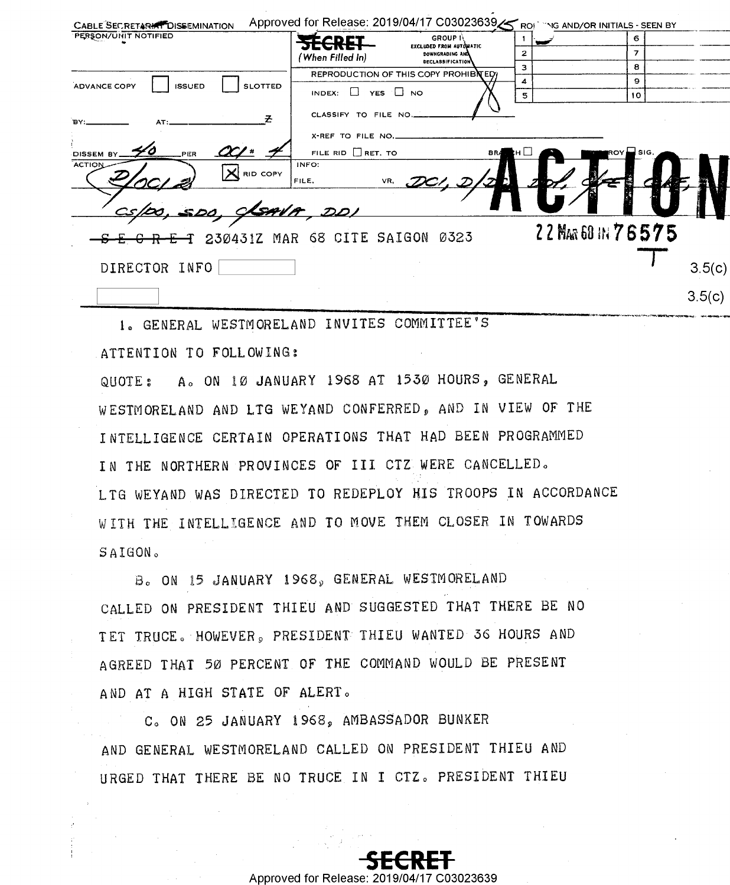| CABLE SECRETARIAT DISSEMINATION                 | Approved for Release: 2019/04/17 C03023639 SROP TNG AND/OR INITIALS - SEEN BY |                        |        |
|-------------------------------------------------|-------------------------------------------------------------------------------|------------------------|--------|
| PERSON/UNIT NOTIFIED                            | <b>GROUP</b> II<br><u>Etcdct</u>                                              | 6.                     |        |
|                                                 | EXCLUDED FROM AUTOMATIC<br>DOWNGRADING AND<br>(When Filled In)                | 2<br>7                 |        |
|                                                 | <b>DECLASSIFICATION</b><br>REPRODUCTION OF THIS COPY PROHIBITED               | 8<br>з                 |        |
| <b>SLOTTED</b><br>ADVANCE COPY<br><b>ISSUED</b> |                                                                               | 4<br>9                 |        |
|                                                 | INDEX: $\Box$ YES $\Box$ NO                                                   | 5<br>10                |        |
| `BY:.                                           | CLASSIFY TO FILE NO.                                                          |                        |        |
|                                                 | X-REF TO FILE NO.                                                             |                        |        |
| <b>PER</b><br>DISSEM BY.                        | FILE RID $\Box$ RET. TO<br><b>BRA</b>                                         | $\Box$ sig.<br>ROY     |        |
| ACTION<br>$\vert \mathsf{X} \vert$ RID COPY     | INFO:<br>VR,<br>$DC/$ , $D/2$<br>FILE,<br>D.                                  |                        |        |
|                                                 | <u>JSAVA, DDI</u>                                                             |                        |        |
| SEGRET 230431Z MAR 68 CITE SAIGON 0323          |                                                                               | 22 MAR 60 IN 7 6 5 7 5 |        |
|                                                 |                                                                               |                        |        |
| DIRECTOR INFO                                   |                                                                               |                        | 3.5(c) |
|                                                 |                                                                               |                        | 3.5(c) |
|                                                 |                                                                               |                        |        |

1. GENERAL WESTMORELAND INVITES COMMITTEE'S ATTENTION TO FOLLOWING: QUOTE: A. ON 10 JANUARY 1968 AT 1530 HOURS, GENERAL

WESTMORELAND AND LTG WEYAND CONFERRED, AND IN VIEW OF THE INTELLIGENCE CERTAIN OPERATIONS THAT HAD BEEN PROGRAMMED IN THE NORTHERN PROVINCES OF III CTZ WERE CANCELLED. LTG WEYAND WAS DIRECTED TO REDEPLOY HIS TROOPS IN ACCORDANCE WITH THE INTELLIGENCE AND TO MOVE THEM CLOSER IN TOWARDS SAIGON.

B. ON 15 JANUARY 1968, GENERAL WESTMORELAND CALLED ON PRESIDENT THIEU AND SUGGESTED THAT THERE BE NO TET TRUCE. HOWEVER, PRESIDENT THIEU WANTED 36 HOURS AND AGREED THAT 50 PERCENT OF THE COMMAND WOULD BE PRESENT AND AT A HIGH STATE OF ALERT.

C. ON 25 JANUARY 1968, AMBASSADOR BUNKER AND GENERAL WESTMORELAND CALLED ON PRESIDENT THIEU AND URGED THAT THERE BE NO TRUCE IN I CTZ. PRESIDENT THIEU

Approved for Release: 201

17 C03023639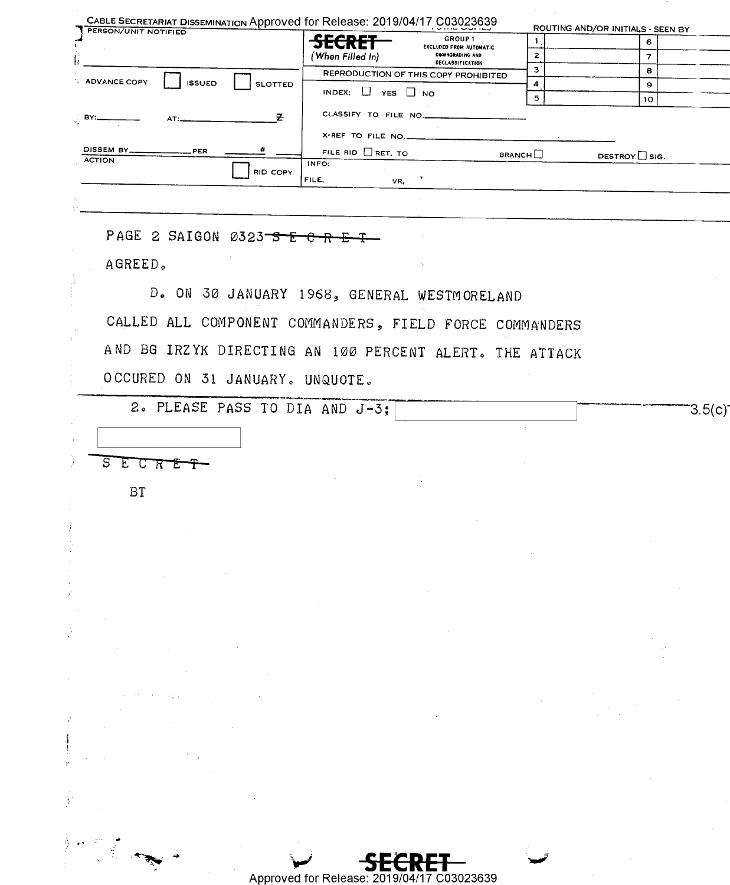| PERSON/UNIT NOTIFIED                                                                                                                                                                                                                                                                                                                                                                                                                                                               | <del>SECRET</del>           | GROUP 1                              | $\mathbf{1}$                                                                                        | 6                                                                                                                                                                           |                                                                           |
|------------------------------------------------------------------------------------------------------------------------------------------------------------------------------------------------------------------------------------------------------------------------------------------------------------------------------------------------------------------------------------------------------------------------------------------------------------------------------------|-----------------------------|--------------------------------------|-----------------------------------------------------------------------------------------------------|-----------------------------------------------------------------------------------------------------------------------------------------------------------------------------|---------------------------------------------------------------------------|
|                                                                                                                                                                                                                                                                                                                                                                                                                                                                                    |                             | <b>EXCLUDED FROM AUTOMATIC</b>       |                                                                                                     |                                                                                                                                                                             |                                                                           |
|                                                                                                                                                                                                                                                                                                                                                                                                                                                                                    | (When Filled In)            | DOWNGRADING AND<br>DECLASSIFICATION  | $\overline{2}$<br>з                                                                                 | $\overline{7}$                                                                                                                                                              |                                                                           |
| <b>ADVANCE COPY</b><br><b>ISSUED</b><br><b>SLOTTED</b>                                                                                                                                                                                                                                                                                                                                                                                                                             |                             | REPRODUCTION OF THIS COPY PROHIBITED | $\blacktriangleleft$                                                                                | 8<br>9                                                                                                                                                                      |                                                                           |
|                                                                                                                                                                                                                                                                                                                                                                                                                                                                                    | INDEX: $\Box$ YES $\Box$ NO |                                      | $5^{\circ}$                                                                                         | 10 <sub>1</sub>                                                                                                                                                             |                                                                           |
| こころ<br>$\frac{1}{\sqrt{2}}$ BY:<br>AT:                                                                                                                                                                                                                                                                                                                                                                                                                                             | CLASSIFY TO FILE NO.        |                                      |                                                                                                     |                                                                                                                                                                             |                                                                           |
|                                                                                                                                                                                                                                                                                                                                                                                                                                                                                    | X-REF TO FILE NO.           |                                      |                                                                                                     |                                                                                                                                                                             |                                                                           |
| DISSEM BY_<br>PER.                                                                                                                                                                                                                                                                                                                                                                                                                                                                 | FILE RID $\Box$ RET. TO     |                                      | BRANCH                                                                                              | DESTROY SIG.                                                                                                                                                                |                                                                           |
| <b>ACTION</b><br><b>RID COPY</b>                                                                                                                                                                                                                                                                                                                                                                                                                                                   | INFO:                       |                                      |                                                                                                     |                                                                                                                                                                             |                                                                           |
|                                                                                                                                                                                                                                                                                                                                                                                                                                                                                    | FILE,                       | VR.                                  |                                                                                                     |                                                                                                                                                                             |                                                                           |
|                                                                                                                                                                                                                                                                                                                                                                                                                                                                                    |                             |                                      |                                                                                                     |                                                                                                                                                                             |                                                                           |
|                                                                                                                                                                                                                                                                                                                                                                                                                                                                                    |                             |                                      |                                                                                                     |                                                                                                                                                                             |                                                                           |
| PAGE 2 SAIGON 0323-5 E-C                                                                                                                                                                                                                                                                                                                                                                                                                                                           |                             |                                      |                                                                                                     |                                                                                                                                                                             |                                                                           |
| AGREED.                                                                                                                                                                                                                                                                                                                                                                                                                                                                            |                             |                                      |                                                                                                     |                                                                                                                                                                             |                                                                           |
|                                                                                                                                                                                                                                                                                                                                                                                                                                                                                    |                             |                                      |                                                                                                     |                                                                                                                                                                             |                                                                           |
| D. ON 30 JANUARY 1968, GENERAL WESTMORELAND                                                                                                                                                                                                                                                                                                                                                                                                                                        |                             |                                      |                                                                                                     |                                                                                                                                                                             |                                                                           |
|                                                                                                                                                                                                                                                                                                                                                                                                                                                                                    |                             |                                      |                                                                                                     |                                                                                                                                                                             |                                                                           |
| CALLED ALL COMPONENT COMMANDERS, FIELD FORCE COMMANDERS                                                                                                                                                                                                                                                                                                                                                                                                                            |                             |                                      |                                                                                                     |                                                                                                                                                                             |                                                                           |
| AND BG IRZYK DIRECTING AN 100 PERCENT ALERT. THE ATTACK                                                                                                                                                                                                                                                                                                                                                                                                                            |                             |                                      |                                                                                                     |                                                                                                                                                                             |                                                                           |
|                                                                                                                                                                                                                                                                                                                                                                                                                                                                                    |                             |                                      |                                                                                                     |                                                                                                                                                                             |                                                                           |
| OCCURED ON 31 JANUARY. UNQUOTE.                                                                                                                                                                                                                                                                                                                                                                                                                                                    |                             |                                      |                                                                                                     |                                                                                                                                                                             |                                                                           |
|                                                                                                                                                                                                                                                                                                                                                                                                                                                                                    |                             |                                      |                                                                                                     |                                                                                                                                                                             |                                                                           |
| 2. PLEASE PASS TO DIA AND J-3;                                                                                                                                                                                                                                                                                                                                                                                                                                                     |                             |                                      |                                                                                                     |                                                                                                                                                                             | 3.5(c)                                                                    |
|                                                                                                                                                                                                                                                                                                                                                                                                                                                                                    |                             |                                      |                                                                                                     |                                                                                                                                                                             |                                                                           |
|                                                                                                                                                                                                                                                                                                                                                                                                                                                                                    |                             |                                      |                                                                                                     |                                                                                                                                                                             |                                                                           |
| S<br>$E$ <sup><math>C</math></sup> $R$ <sup><math>E</math></sup>                                                                                                                                                                                                                                                                                                                                                                                                                   |                             |                                      |                                                                                                     |                                                                                                                                                                             |                                                                           |
| <b>BT</b>                                                                                                                                                                                                                                                                                                                                                                                                                                                                          |                             |                                      |                                                                                                     |                                                                                                                                                                             |                                                                           |
|                                                                                                                                                                                                                                                                                                                                                                                                                                                                                    |                             |                                      |                                                                                                     |                                                                                                                                                                             |                                                                           |
|                                                                                                                                                                                                                                                                                                                                                                                                                                                                                    |                             |                                      |                                                                                                     |                                                                                                                                                                             |                                                                           |
|                                                                                                                                                                                                                                                                                                                                                                                                                                                                                    |                             |                                      |                                                                                                     |                                                                                                                                                                             |                                                                           |
|                                                                                                                                                                                                                                                                                                                                                                                                                                                                                    |                             |                                      |                                                                                                     |                                                                                                                                                                             |                                                                           |
|                                                                                                                                                                                                                                                                                                                                                                                                                                                                                    |                             |                                      |                                                                                                     |                                                                                                                                                                             |                                                                           |
|                                                                                                                                                                                                                                                                                                                                                                                                                                                                                    |                             |                                      |                                                                                                     | $\mathcal{L}(\mathcal{L}(\mathcal{L}))$ and $\mathcal{L}(\mathcal{L}(\mathcal{L}))$ and $\mathcal{L}(\mathcal{L}(\mathcal{L}))$ and $\mathcal{L}(\mathcal{L}(\mathcal{L}))$ |                                                                           |
| $\mathcal{L}_{\text{max}}$ and $\mathcal{L}_{\text{max}}$ and $\mathcal{L}_{\text{max}}$                                                                                                                                                                                                                                                                                                                                                                                           |                             |                                      |                                                                                                     |                                                                                                                                                                             |                                                                           |
| $\mathcal{F}=\mathcal{F}(\mathcal{F})$ .                                                                                                                                                                                                                                                                                                                                                                                                                                           |                             |                                      |                                                                                                     |                                                                                                                                                                             |                                                                           |
| $\label{eq:2.1} \begin{split} \mathcal{L}_{\text{max}}(\mathbf{r},\mathbf{r})&=\mathcal{L}_{\text{max}}(\mathbf{r},\mathbf{r})\\ &\leq \mathcal{L}_{\text{max}}(\mathbf{r},\mathbf{r})\mathcal{L}_{\text{max}}(\mathbf{r},\mathbf{r})\\ &\leq \mathcal{L}_{\text{max}}(\mathbf{r},\mathbf{r})\mathcal{L}_{\text{max}}(\mathbf{r},\mathbf{r})\mathcal{L}_{\text{max}}(\mathbf{r},\mathbf{r})\mathcal{L}_{\text{max}}(\mathbf{r},\mathbf{r})\mathcal{L}_{\text{max}}$<br>$\sim 10^6$ |                             |                                      |                                                                                                     |                                                                                                                                                                             |                                                                           |
|                                                                                                                                                                                                                                                                                                                                                                                                                                                                                    |                             |                                      |                                                                                                     |                                                                                                                                                                             |                                                                           |
| $\mathcal{L}^{\mathcal{L}}(\mathcal{L}^{\mathcal{L}})$ . The contract of the contract of the contract of $\mathcal{L}^{\mathcal{L}}$                                                                                                                                                                                                                                                                                                                                               |                             |                                      |                                                                                                     |                                                                                                                                                                             | $\mathcal{L}^{\text{c}}_{\text{c}}$ , $\mathcal{L}^{\text{c}}_{\text{c}}$ |
| $\label{eq:2.1} \mathcal{O}(\mathcal{A}(\mathcal{A})) = \mathcal{O}(\mathcal{A}(\mathcal{A})) = \mathcal{O}(\mathcal{A}(\mathcal{A}))$                                                                                                                                                                                                                                                                                                                                             |                             |                                      | $\mathcal{L}_{\mathcal{A}}$ and $\mathcal{L}_{\mathcal{A}}$ are the set of the set of $\mathcal{A}$ |                                                                                                                                                                             |                                                                           |
|                                                                                                                                                                                                                                                                                                                                                                                                                                                                                    |                             |                                      |                                                                                                     |                                                                                                                                                                             |                                                                           |
| $\label{eq:2.1} \begin{split} \mathcal{L}_{\text{max}}(\mathbf{r},\mathbf{r}) & = \mathcal{L}_{\text{max}}(\mathbf{r},\mathbf{r}) \\ \mathcal{L}_{\text{max}}(\mathbf{r},\mathbf{r}) & = \mathcal{L}_{\text{max}}(\mathbf{r},\mathbf{r}) \\ \mathcal{L}_{\text{max}}(\mathbf{r},\mathbf{r}) & = \mathcal{L}_{\text{max}}(\mathbf{r},\mathbf{r}) \\ \mathcal{L}_{\text{max}}(\mathbf{r},\mathbf{r}) & = \mathcal{L}_{\text{max}}(\mathbf{r},\mathbf{r}) \\ \mathcal{L}_{\text{max$  |                             |                                      |                                                                                                     |                                                                                                                                                                             |                                                                           |
| $\mathcal{L}^{\mathcal{L}}(\mathcal{L}^{\mathcal{L}})$ and $\mathcal{L}^{\mathcal{L}}(\mathcal{L}^{\mathcal{L}})$ and $\mathcal{L}^{\mathcal{L}}(\mathcal{L}^{\mathcal{L}})$ . In the case of $\mathcal{L}^{\mathcal{L}}$                                                                                                                                                                                                                                                          |                             |                                      |                                                                                                     |                                                                                                                                                                             |                                                                           |
| $\mathcal{A}(\mathcal{A})$ , $\mathcal{A}(\mathcal{A})$<br>$\mathcal{O}(\mathcal{A}^{\mathcal{A}})$ , where $\mathcal{O}(\mathcal{A}^{\mathcal{A}})$ , where $\mathcal{O}(\mathcal{A}^{\mathcal{A}})$                                                                                                                                                                                                                                                                              |                             |                                      |                                                                                                     |                                                                                                                                                                             |                                                                           |
|                                                                                                                                                                                                                                                                                                                                                                                                                                                                                    |                             |                                      |                                                                                                     |                                                                                                                                                                             |                                                                           |
| $\mathcal{L}(\mathcal{L}^{\mathcal{L}})$ and $\mathcal{L}^{\mathcal{L}}$ are $\mathcal{L}^{\mathcal{L}}$ . In the contribution of                                                                                                                                                                                                                                                                                                                                                  |                             |                                      |                                                                                                     |                                                                                                                                                                             |                                                                           |
|                                                                                                                                                                                                                                                                                                                                                                                                                                                                                    |                             |                                      |                                                                                                     |                                                                                                                                                                             |                                                                           |
|                                                                                                                                                                                                                                                                                                                                                                                                                                                                                    |                             |                                      |                                                                                                     |                                                                                                                                                                             |                                                                           |

**SECRET**<br>Approved for Release: 2019/04/17 C03023639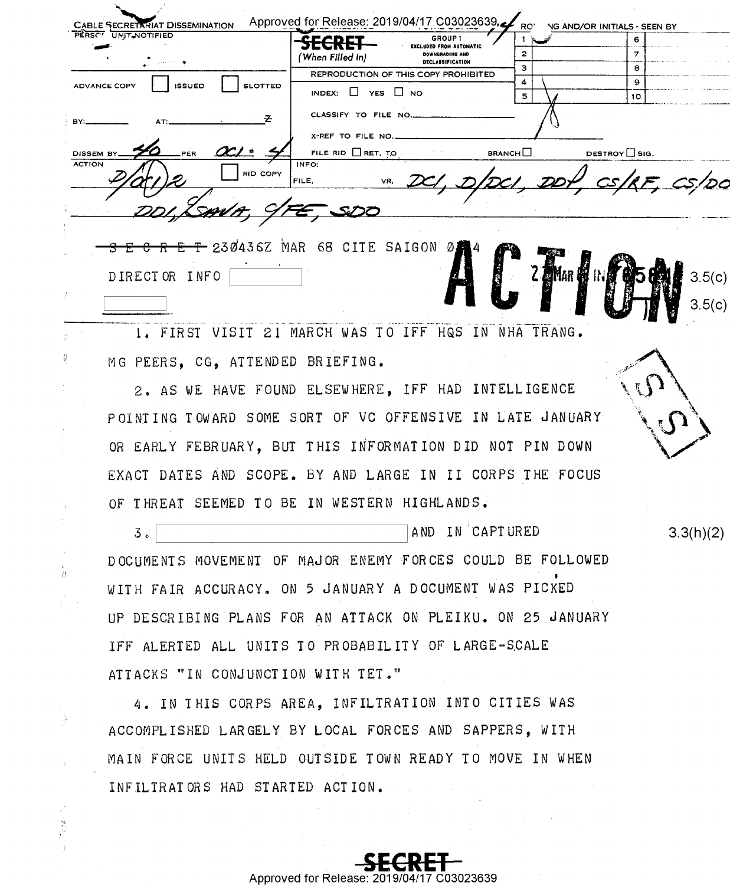| <b>CABLE SECRETARIAT DISSEMINATION</b><br>PERSOT UNIT NOTIFIED    | Approved for Release: 2019/04/17 C03023639,<br>GROUP <sub>1</sub><br>CECDET<br>דות שבו<br><b>EXCLUDED FROM AUTOMATIC</b><br><b>DOWNGRADING AND</b><br>'When Filled In) | RO'<br>2      | <b>NG AND/OR INITIALS - SEEN BY</b><br>6 |
|-------------------------------------------------------------------|------------------------------------------------------------------------------------------------------------------------------------------------------------------------|---------------|------------------------------------------|
| $\mathcal{L}_{\text{max}}$ , where $\mathcal{L}_{\text{max}}$ and | <b>DECLASSIFICATION</b><br>REPRODUCTION OF THIS COPY PROHIBITED                                                                                                        | 3<br>4        | 8<br>9                                   |
| <b>ADVANCE COPY</b><br><b>ISSUED</b><br><b>SLOTTED</b>            | $\Box$ YES $\Box$ NO<br>INDEX:                                                                                                                                         | 5.            | 10                                       |
| BY:                                                               | CLASSIFY TO FILE NO                                                                                                                                                    |               |                                          |
| DISSEM B<br>PER                                                   | X-REF TO FILE NO.<br>FILE RID $\Box$ RET. TO                                                                                                                           | <b>BRANCH</b> | DESTROY $\square$ SIG.                   |
| <b>ACTION</b><br><b>RID COPY</b>                                  | INFO:<br>DCI, DIDCI DDT<br>VR.<br>FILE.                                                                                                                                |               | $cs/RF$ , $cs/DO$                        |
|                                                                   |                                                                                                                                                                        |               |                                          |
|                                                                   |                                                                                                                                                                        |               |                                          |
|                                                                   | $E$ C R E T 230436Z MAR 68 CITE SAIGON 0244                                                                                                                            |               |                                          |
| DIRECTOR INFO                                                     |                                                                                                                                                                        |               | 3.5(c)                                   |
|                                                                   |                                                                                                                                                                        |               |                                          |

1. FIRST VISIT 21 MARCH WAS TO IFF HQS IN NHA TRANG. MG PEERS. CG. ATTENDED BRIEFING.

Ë

r)

2. AS WE HAVE FOUND ELSEWHERE, IFF HAD INTELLIGENCE POINTING TOWARD SOME SORT OF VC OFFENSIVE IN LATE JANUARY OR EARLY FEBRUARY, BUT THIS INFORMATION DID NOT PIN DOWN EXACT DATES AND SCOPE. BY AND LARGE IN II CORPS THE FOCUS OF THREAT SEEMED TO BE IN WESTERN HIGHLANDS.

AND IN CAPTURED  $3<sub>e</sub>$ DOCUMENTS MOVEMENT OF MAJOR ENEMY FORCES COULD BE FOLLOWED WITH FAIR ACCURACY. ON 5 JANUARY A DOCUMENT WAS PICKED UP DESCRIBING PLANS FOR AN ATTACK ON PLEIKU. ON 25 JANUARY IFF ALERTED ALL UNITS TO PROBABILITY OF LARGE-SCALE ATTACKS "IN CONJUNCTION WITH TET."

4. IN THIS CORPS AREA, INFILTRATION INTO CITIES WAS ACCOMPLISHED LARGELY BY LOCAL FORCES AND SAPPERS, WITH MAIN FORCE UNITS HELD OUTSIDE TOWN READY TO MOVE IN WHEN INFILIRATORS HAD STARTED ACTION.

 $3.3(h)(2)$ 

Approved for Release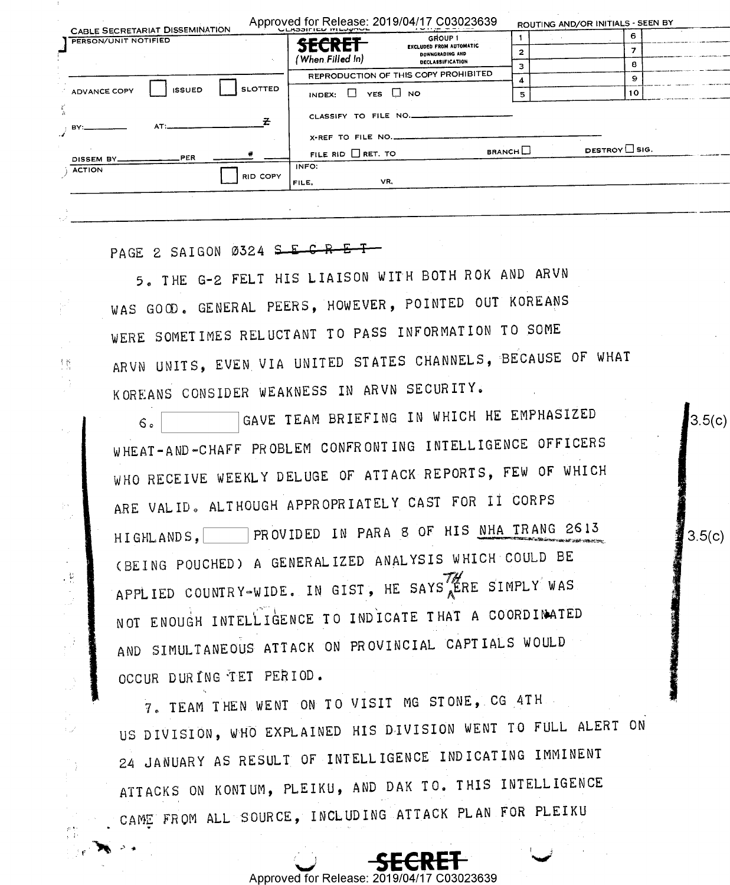|                          |                                                                       | Approved for Release: 2019/04/17 C03023639<br><b>ULADOIFIED IVILUPPUL</b> |                     | ROUTING AND/OR INITIALS - SEEN BY |  |
|--------------------------|-----------------------------------------------------------------------|---------------------------------------------------------------------------|---------------------|-----------------------------------|--|
|                          | <b>CABLE SECRETARIAT DISSEMINATION</b><br><b>PERSON/UNIT NOTIFIED</b> | GROUP 1<br><u> eranet</u>                                                 |                     | 6                                 |  |
|                          |                                                                       | <b>EXCLUDED FROM AUTOMATIC</b><br><b>ЫКЧИ</b><br><b>DOWNGRADING AND</b>   | $\overline{2}$      |                                   |  |
|                          |                                                                       | (When Filled In)<br><b>DECLASSIFICATION</b>                               | э                   | я.                                |  |
|                          |                                                                       | REPRODUCTION OF THIS COPY PROHIBITED                                      |                     | 9                                 |  |
|                          | <b>SLOTTED</b><br><b>ISSUED</b><br>ADVANCE COPY                       | INDEX: $\Box$ YES $\Box$ NO                                               | 5                   | 10                                |  |
| $\frac{\Gamma'}{\Delta}$ | AT:<br>BY:                                                            | CLASSIFY TO FILE NO.                                                      |                     |                                   |  |
|                          |                                                                       | X-REF TO FILE NO.                                                         |                     |                                   |  |
|                          | <b>PER</b><br>DISSEM BY_                                              | FILE RID $\Box$ RET. TO                                                   | $B$ RANCH $\square$ | <b>DESTROY</b> $\Box$ SIG.        |  |
|                          | <b>ACTION</b><br>RID COPY                                             | INFO:<br>VR,<br>FILE,                                                     |                     |                                   |  |
|                          |                                                                       |                                                                           |                     |                                   |  |

PAGE 2 SAIGON 0324 S E C R E T

植

 $\epsilon_{\rm{tot}}$ 

 $\frac{1}{2}$  : , z

 $\bar{\mathcal{E}}$ 

 $\begin{array}{c} \mathbf{u} \\ \mathbf{u} \\ \mathbf{v} \\ \mathbf{v} \end{array}$ 

5. THE G-2 FELT HIS LIAISON WITH BOTH ROK AND ARVN WAS GOOD. GENERAL PEERS, HOWEVER, POINTED OUT KOREANS WERE SOMETIMES RELUCTANT TO PASS INFORMATION TO SOME ARVN UNITS, EVEN VIA UNITED STATES CHANNELS, BECAUSE OF WHAT KOREANS CONSIDER WEAKNESS IN ARVN SECURITY.

 $3.5(c)$ 

 $3.5(c)$ 

GAVE TEAM BRIEFING IN WHICH HE EMPHASIZED  $6 \circ$ WHEAT-AND-CHAFF PROBLEM CONFRONTING INTELLIGENCE OFFICERS WHO RECEIVE WEEKLY DELUGE OF ATTACK REPORTS, FEW OF WHICH ARE VALID. ALTHOUGH APPROPRIATELY CAST FOR II CORPS HIGHLANDS, PROVIDED IN PARA 8 OF HIS NHA TRANG 2613 (BEING POUCHED) A GENERALIZED ANALYSIS WHICH COULD BE APPLIED COUNTRY-WIDE. IN GIST, HE SAYS ERE SIMPLY WAS NOT ENOUGH INTELLIGENCE TO INDICATE THAT A COORDINATED AND SIMULTANEOUS ATTACK ON PROVINCIAL CAPTIALS WOULD OCCUR DURING TEI PERIOD.

7. TEAM THEN WENT ON TO VISIT MG STONE, CG 4TH US DIVISION, WHO EXPLAINED HIS DIVISION WENT TO FULL ALERT ON 24 JANUARY AS RESULT OF INTELLIGENCE INDICATING IMMINENT ATTACKS ON KONTUM, PLEIKU, AND DAK TO. THIS INTELLIGENCE CAME FROM ALL SOURCE, INCLUDING ATTACK PLAN FOR PLEIKU

03023639

Approved for Release: 2019/04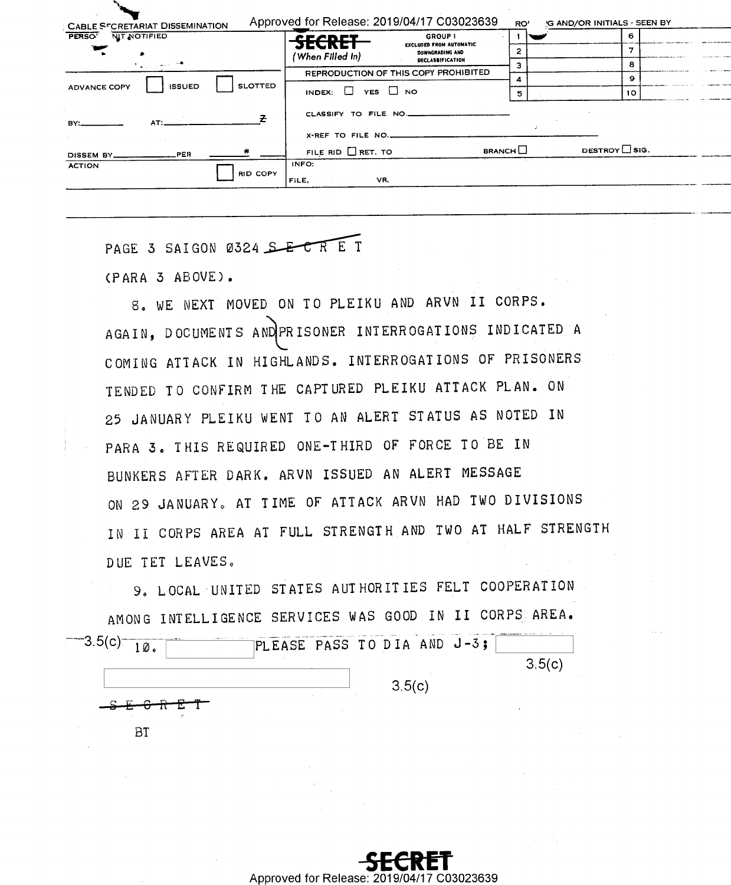| PERSO <sup>T</sup><br>NIT NOTIFIED   |                 | <b>SECRET</b>                        | <b>GROUP 1</b><br><b>EXCLUDED FROM AUTOMATIC</b> |               | 6.                  |
|--------------------------------------|-----------------|--------------------------------------|--------------------------------------------------|---------------|---------------------|
|                                      |                 | 'When Filled In)                     | DOWNGRADING AND                                  |               |                     |
| <b>Algorithment</b>                  |                 |                                      | <b>DECLASSIFICATION</b>                          |               | я                   |
| <b>ISSUED</b><br><b>ADVANCE COPY</b> |                 | REPRODUCTION OF THIS COPY PROHIBITED |                                                  |               | $\Omega$            |
|                                      | <b>SLOTTED</b>  | INDEX: $\Box$ YES $\Box$ NO          |                                                  |               | 10                  |
| AT:<br>BY:                           |                 | CLASSIFY TO FILE NO.                 |                                                  |               |                     |
|                                      |                 | X-REF TO FILE NO.                    |                                                  |               |                     |
| PER.<br>DISSEM BY_                   |                 | FILE RID $\Box$ RET. TO              |                                                  | <b>BRANCH</b> | DESTROY $\Box$ SIG. |
| <b>ACTION</b>                        | <b>RID COPY</b> | INFO:                                |                                                  |               |                     |

PAGE 3 SAIGON 0324 SECRET

(PARA 3 ABOVE).

**BT** 

8. WE NEXT MOVED ON TO PLEIKU AND ARVN II CORPS. AGAIN. DOCUMENTS AND PRISONER INTERROGATIONS INDICATED A COMING ATTACK IN HIGHLANDS. INTERROGATIONS OF PRISONERS TENDED TO CONFIRM THE CAPTURED PLEIKU ATTACK PLAN. ON 25 JANUARY PLEIKU WENT TO AN ALERT STATUS AS NOTED IN PARA 3. THIS REQUIRED ONE-THIRD OF FORCE TO BE IN BUNKERS AFTER DARK. ARVN ISSUED AN ALERT MESSAGE ON 29 JANUARY. AT TIME OF ATTACK ARVN HAD TWO DIVISIONS IN II CORPS AREA AT FULL STRENGTH AND TWO AT HALF STRENGTH DUE TET LEAVES.

9. LOCAL UNITED STATES AUTHORITIES FELT COOPERATION AMONG INTELLIGENCE SERVICES WAS GOOD IN II CORPS AREA.  $-3.5(c)$  $1\%$ . PLEASE PASS TO DIA AND J-3;  $3.5(c)$  $3.5(c)$ 

> C03023639 Approved for Release: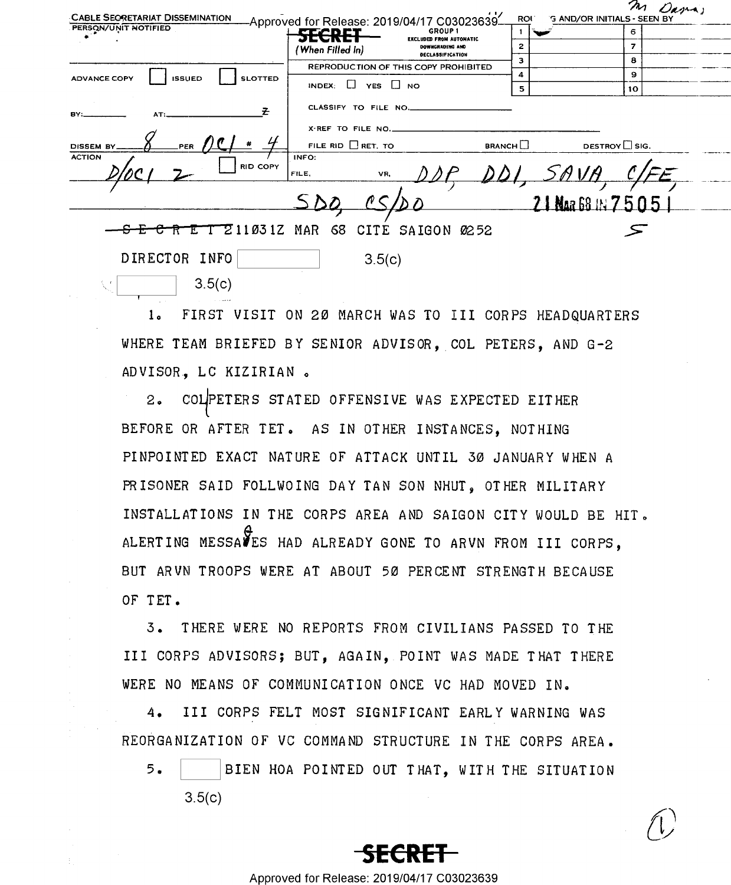|                                                        |                             |                                                                 |               |                                                 |                | m Dana, |
|--------------------------------------------------------|-----------------------------|-----------------------------------------------------------------|---------------|-------------------------------------------------|----------------|---------|
| <b>CABLE SECRETARIAT DISSEMINATION</b>                 |                             | -Approved for Release: 2019/04/17 C03023639-                    |               | ROU <sup>®</sup><br>G AND/OR INITIALS - SEEN BY |                |         |
| PERSON/UNIT NOTIFIED                                   | gazan di                    | GROUP <sub>1</sub><br><b>EXCLUDED FROM AUTOMATIC</b>            |               |                                                 | 6              |         |
|                                                        | (When Filled In)            | DOWNGRADING AND                                                 | 2             |                                                 | $\overline{z}$ |         |
|                                                        |                             | <b>DECLASSIFICATION</b><br>REPRODUCTION OF THIS COPY PROHIBITED | з             |                                                 | 8              |         |
| <b>ADVANCE COPY</b><br><b>ISSUED</b><br><b>SLOTTED</b> |                             |                                                                 | 4             |                                                 | 9.             |         |
|                                                        | INDEX: $\Box$ YES $\Box$ NO |                                                                 | 5             |                                                 | 10             |         |
| ₹<br>BY:                                               | CLASSIFY TO FILE NO.        |                                                                 |               |                                                 |                |         |
|                                                        | X-REF TO FILE NO.           |                                                                 |               |                                                 |                |         |
| <b>DISSEM BY</b>                                       | FILE RID $\Box$ RET. TO     |                                                                 | <b>BRANCH</b> | DESTROY $\Box$ SIG.                             |                |         |
| <b>ACTION</b><br>RID COPY                              | INFO:<br>FILE.              | VR.                                                             |               |                                                 |                |         |
|                                                        |                             |                                                                 |               |                                                 |                |         |
|                                                        |                             |                                                                 |               | 21 Nua 68 11 7 5 0 5                            |                |         |
|                                                        |                             |                                                                 |               |                                                 |                |         |
| Z11031Z MAR                                            | 68                          | CITE SAIGON 0252                                                |               |                                                 |                |         |
| DIRECTOR INFO                                          |                             | 3.5(c)                                                          |               |                                                 |                |         |
| 3.5(c)                                                 |                             |                                                                 |               |                                                 |                |         |

FIRST VISIT ON 20 MARCH WAS TO III CORPS HEADQUARTERS  $1<sub>a</sub>$ WHERE TEAM BRIEFED BY SENIOR ADVISOR, COL PETERS, AND G-2 ADVISOR, LC KIZIRIAN.

COLPETERS STATED OFFENSIVE WAS EXPECTED EITHER  $2.5$ BEFORE OR AFTER TET. AS IN OTHER INSTANCES. NOTHING PINPOINTED EXACT NATURE OF ATTACK UNTIL 30 JANUARY WHEN A PRISONER SAID FOLLWOING DAY TAN SON NHUT, OTHER MILITARY INSTALLATIONS IN THE CORPS AREA AND SAIGON CITY WOULD BE HIT. ALERTING MESSAVES HAD ALREADY GONE TO ARVN FROM III CORPS, BUT ARVN TROOPS WERE AT ABOUT 50 PERCENT STRENGTH BECAUSE OF TFT.

3. THERE WERE NO REPORTS FROM CIVILIANS PASSED TO THE III CORPS ADVISORS; BUT, AGAIN, POINT WAS MADE THAT THERE WERE NO MEANS OF COMMUNICATION ONCE VC HAD MOVED IN.

III CORPS FELT MOST SIGNIFICANT EARLY WARNING WAS  $4.$ REORGANIZATION OF VC COMMAND STRUCTURE IN THE CORPS AREA.

 $5.$ BIEN HOA POINTED OUT THAT, WITH THE SITUATION  $3.5(c)$ 



Approved for Release: 2019/04/17 C03023639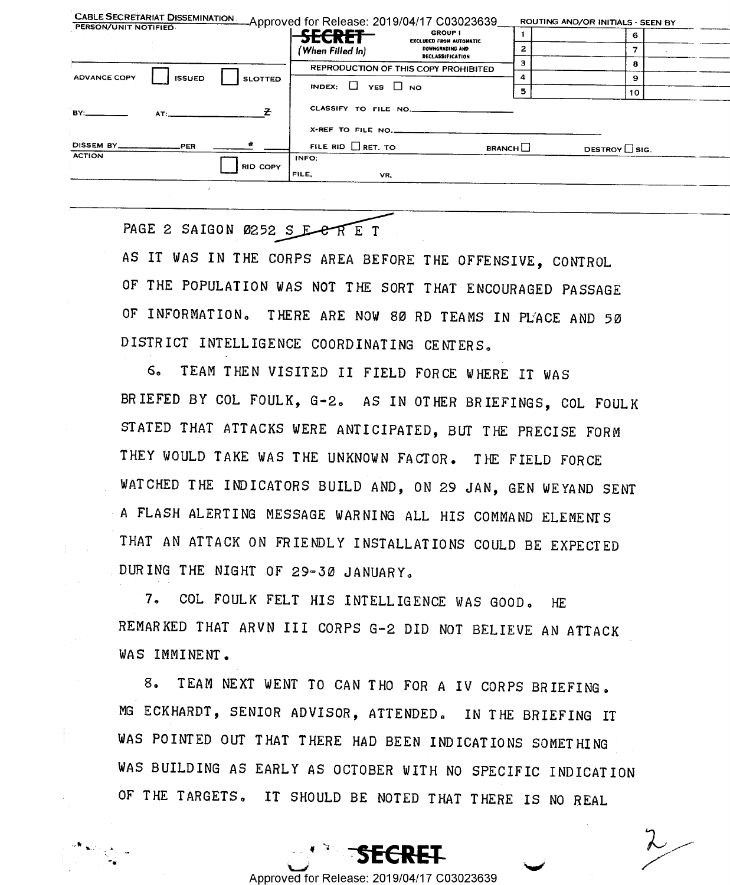| PERSON/UNIT NOTIFIED                                                                                                                                                                                                           |               |                 |                                    | CABLE SECRETARIAT DISSEMINATION Approved for Release: 2019/04/17 C03023639 |               | ROUTING AND/OR INITIALS - SEEN BY |  |
|--------------------------------------------------------------------------------------------------------------------------------------------------------------------------------------------------------------------------------|---------------|-----------------|------------------------------------|----------------------------------------------------------------------------|---------------|-----------------------------------|--|
|                                                                                                                                                                                                                                |               |                 | <b>SECRET</b>                      | <b>GROUP I</b><br><b>EXCLUDED FROM AUTOMATIC</b>                           |               | 6                                 |  |
|                                                                                                                                                                                                                                |               |                 | (When Filled In)                   | DOWNGRADING AND<br><b>DECLASSIFICATION</b>                                 |               |                                   |  |
|                                                                                                                                                                                                                                |               |                 |                                    | REPRODUCTION OF THIS COPY PROHIBITED                                       |               | 8                                 |  |
| <b>ADVANCE COPY</b>                                                                                                                                                                                                            | <b>ISSUED</b> | <b>SLOTTED</b>  |                                    |                                                                            |               | 9                                 |  |
|                                                                                                                                                                                                                                |               |                 | <b>INDEX:</b> $\Box$ YES $\Box$ NO |                                                                            | 5             | 10                                |  |
| RY: The Contract of the Contract of the Contract of the Contract of the Contract of the Contract of the Contract of the Contract of the Contract of the Contract of the Contract of the Contract of the Contract of the Contra | AT:           |                 |                                    | CLASSIFY TO FILE NO.                                                       |               |                                   |  |
|                                                                                                                                                                                                                                |               |                 | X-REF TO FILE NO.                  |                                                                            |               |                                   |  |
| DISSEM BY ____________________PER<br><b>ACTION</b>                                                                                                                                                                             |               | *               | FILE RID RET. TO                   |                                                                            | <b>BRANCH</b> | DESTROY SIG.                      |  |
|                                                                                                                                                                                                                                |               | <b>RID COPY</b> | INFO:<br>FILE.                     | VR,                                                                        |               |                                   |  |
|                                                                                                                                                                                                                                |               |                 |                                    |                                                                            |               |                                   |  |

PAGE 2 SAIGON 0252 S E C R E T

AS IT WAS IN THE CORPS AREA BEFORE THE OFFENSIVE, CONTROL OF THE POPULATION WAS NOT THE SORT THAT ENCOURAGED PASSAGE OF INFORMATION. THERE ARE NOW 80 RD TEAMS IN PLACE AND 50 DISTRICT INTELLIGENCE COORDINATING CENTERS.

TEAM THEN VISITED II FIELD FORCE WHERE IT WAS  $6.$ BRIEFED BY COL FOULK, G-2. AS IN OTHER BRIEFINGS, COL FOULK STATED THAT ATTACKS WERE ANTICIPATED, BUT THE PRECISE FORM THEY WOULD TAKE WAS THE UNKNOWN FACTOR. THE FIELD FORCE WATCHED THE INDICATORS BUILD AND, ON 29 JAN, GEN WEYAND SENT A FLASH ALERTING MESSAGE WARNING ALL HIS COMMAND ELEMENTS THAT AN ATTACK ON FRIENDLY INSTALLATIONS COULD BE EXPECTED DURING THE NIGHT OF 29-30 JANUARY.

COL FOULK FELT HIS INTELLIGENCE WAS GOOD.  $7<sub>n</sub>$  $HF$ REMARKED THAT ARVN III CORPS G-2 DID NOT BELIEVE AN ATTACK WAS IMMINENT.

TEAM NEXT WENT TO CAN THO FOR A IV CORPS BRIEFING.  $8<sub>n</sub>$ MG ECKHARDT, SENIOR ADVISOR, ATTENDED. IN THE BRIEFING IT WAS POINTED OUT THAT THERE HAD BEEN INDICATIONS SOMETHING WAS BUILDING AS EARLY AS OCTOBER WITH NO SPECIFIC INDICATION OF THE TARGETS. IT SHOULD BE NOTED THAT THERE IS NO REAL

Approved for Release: 2019/04/17 C03023639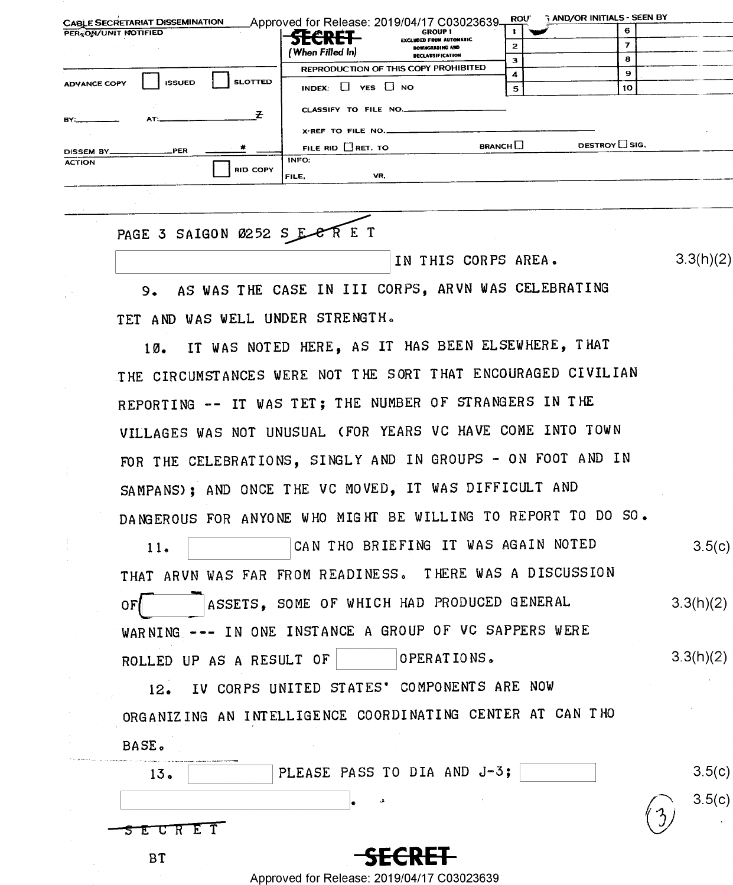| <b>CABLE SECRETARIAT DISSEMINATION</b>                 | Approved for Release: 2019/04/17 C03023639.                                  | <b>AND/OR INITIALS - SEEN BY</b><br><b>ROU</b> |
|--------------------------------------------------------|------------------------------------------------------------------------------|------------------------------------------------|
| PER ON/UNIT NOTIFIED                                   | GROUP 1<br><b>SECRET</b>                                                     | 6                                              |
|                                                        | <b>EXCLUDED FROM AUTOMATIC</b><br><b>DOWNGRADING AND</b><br>(When Filled In) |                                                |
|                                                        | <b>DECLASSIFICATION</b>                                                      | 8                                              |
|                                                        | REPRODUCTION OF THIS COPY PROHIBITED                                         | 9<br>4                                         |
| <b>SLOTTED</b><br><b>ISSUED</b><br><b>ADVANCE COPY</b> | INDEX: $\Box$ YES $\Box$ NO                                                  | 10<br>5                                        |
| AT:<br>BY:                                             | CLASSIFY TO FILE NO.                                                         |                                                |
|                                                        | X-REF TO FILE NO.                                                            |                                                |
| PER<br>DISSEM BY_                                      | FILE RID $\Box$ RET. TO                                                      | DESTROY $\Box$ SIG.<br><b>BRANCH</b>           |
| <b>ACTION</b>                                          | INFO:                                                                        |                                                |
| <b>RID COPY</b>                                        | VR,<br>FILE.                                                                 |                                                |
|                                                        |                                                                              |                                                |

## PAGE 3 SAIGON 0252 S E CRET

IN THIS CORPS AREA.

 $3.3(h)(2)$ 

AS WAS THE CASE IN III CORPS, ARVN WAS CELEBRATING  $9.$ TET AND WAS WELL UNDER STRENGTH.

IT WAS NOTED HERE, AS IT HAS BEEN ELSEWHERE, THAT  $10.$ THE CIRCUMSTANCES WERE NOT THE SORT THAT ENCOURAGED CIVILIAN REPORTING -- IT WAS TET: THE NUMBER OF STRANGERS IN THE VILLAGES WAS NOT UNUSUAL (FOR YEARS VC HAVE COME INTO TOWN FOR THE CELEBRATIONS, SINGLY AND IN GROUPS - ON FOOT AND IN SAMPANS); AND ONCE THE VC MOVED, IT WAS DIFFICULT AND DANGEROUS FOR ANYONE WHO MIGHT BE WILLING TO REPORT TO DO SO.

CAN THO BRIEFING IT WAS AGAIN NOTED  $3.5(c)$  $11.$ THAT ARVN WAS FAR FROM READINESS. THERE WAS A DISCUSSION ASSETS. SOME OF WHICH HAD PRODUCED GENERAL  $3.3(h)(2)$  $OFI$ WARNING --- IN ONE INSTANCE A GROUP OF VC SAPPERS WERE  $3.3(h)(2)$ ROLLED UP AS A RESULT OF OPERATIONS.

IV CORPS UNITED STATES' COMPONENTS ARE NOW  $12.$ ORGANIZING AN INTELLIGENCE COORDINATING CENTER AT CAN THO BASE.

| the finance person and control consideration.<br>The county of the prices and property in planned in the California President President<br>13. | PLEASE PASS TO DIA AND J-3; | 3.5(c) |
|------------------------------------------------------------------------------------------------------------------------------------------------|-----------------------------|--------|
|                                                                                                                                                | lo                          | 3.5(c) |
| $ 5$ $E$ $C$ $R$ $E$ $T$                                                                                                                       |                             |        |
|                                                                                                                                                | <b>SECRET</b>               |        |

Approved for Release: 2019/04/17 C03023639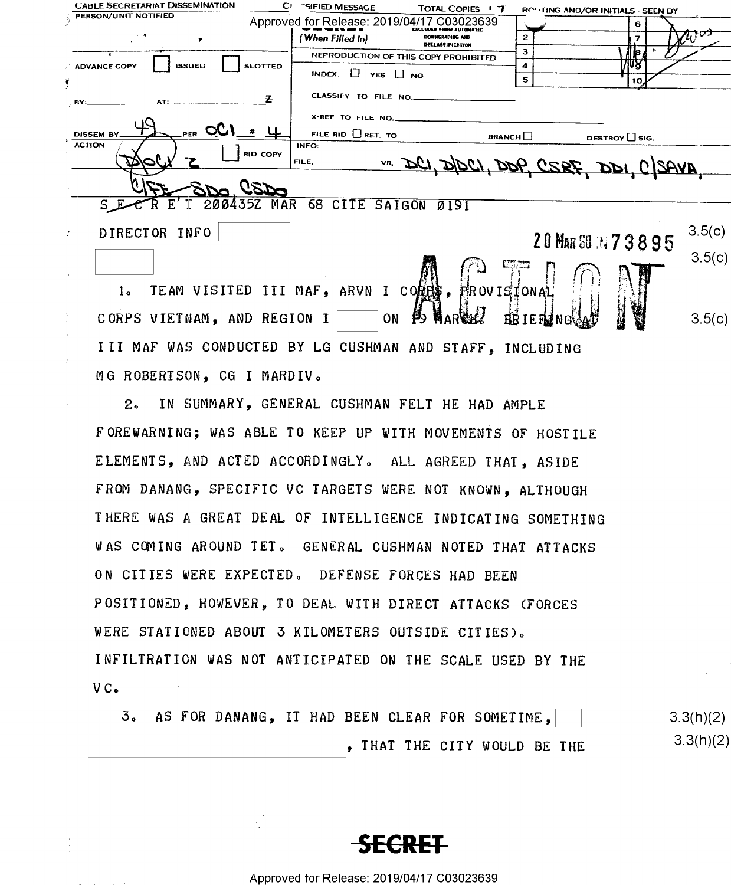| <b>CABLE SECRETARIAT DISSEMINATION</b><br>CE.          | <b>SIFIED MESSAGE</b><br>TOTAL COPIES ' 7                             | ROLING AND/OR INITIALS - SEEN BY       |
|--------------------------------------------------------|-----------------------------------------------------------------------|----------------------------------------|
| PERSON/UNIT NOTIFIED                                   | Approved for Release: 2019/04/17 C03023639                            | 6                                      |
|                                                        | (When Filled In)<br><b>DOWNGRADING AND</b><br><b>DECLASSIFICATION</b> | כל<br>2                                |
|                                                        | REPRODUCTION OF THIS COPY PROHIBITED                                  | з<br>$\mathbf{d}$ is $\mathbf{d}$      |
| <b>SLOTTED</b><br><b>ADVANCE COPY</b><br><b>ISSUED</b> | INDEX. [] YES I NO                                                    | 4                                      |
|                                                        |                                                                       | 5<br>10.                               |
| BY:                                                    | CLASSIFY TO FILE NO.                                                  |                                        |
|                                                        | X-REF TO FILE NO.                                                     |                                        |
| $_{PER}$ QC<br><b>DISSEM BY</b>                        | FILE RID $\Box$ RET. TO                                               | <b>BRANCH</b><br>DESTROY $\Box$ SIG.   |
| <b>ACTION</b><br><b>RID COPY</b>                       | INFO:                                                                 |                                        |
|                                                        | FILE,                                                                 | VR. DCI, DIDCI, DDP, CSRF, DDI, CISAVA |
|                                                        |                                                                       |                                        |
| S E                                                    | E'T 200435Z MAR 68 CITE SAIGON 0191                                   |                                        |
|                                                        |                                                                       |                                        |
| DIRECTOR INFO                                          |                                                                       | 3.5(c)                                 |
|                                                        |                                                                       | 20 MAR 50 14 7 3 8 9 5                 |
|                                                        |                                                                       | 3.5(c)                                 |
|                                                        |                                                                       |                                        |
| Ιe.                                                    | TEAM VISITED III MAF. ARVN I CONFIS.                                  | <b>PROVISIONAL</b>                     |

CORPS VIETNAM, AND REGION I ON A HARGE BEIEF NG A  $3.5(c)$ III MAF WAS CONDUCTED BY LG CUSHMAN AND STAFF. INCLUDING MG ROBERTSON, CG I MARDIV.

 $2<sub>o</sub>$ IN SUMMARY, GENERAL CUSHMAN FELT HE HAD AMPLE FOREWARNING: WAS ABLE TO KEEP UP WITH MOVEMENTS OF HOSTILE ELEMENTS, AND ACTED ACCORDINGLY. ALL AGREED THAT, ASIDE FROM DANANG, SPECIFIC VC TARGETS WERE NOT KNOWN, ALTHOUGH THERE WAS A GREAT DEAL OF INTELLIGENCE INDICATING SOMETHING WAS COMING AROUND TET. GENERAL CUSHMAN NOTED THAT ATTACKS ON CITIES WERE EXPECTED. DEFENSE FORCES HAD BEEN POSITIONED, HOWEVER, TO DEAL WITH DIRECT ATTACKS (FORCES WERE STATIONED ABOUT 3 KILOMETERS OUTSIDE CITIES). INFILIRATION WAS NOT ANTICIPATED ON THE SCALE USED BY THE  $VC<sub>o</sub>$ 

3. AS FOR DANANG, IT HAD BEEN CLEAR FOR SOMETIME, , THAT THE CITY WOULD BE THE  $3.3(h)(2)$  $3.3(h)(2)$ 



Approved for Release: 2019/04/17 C03023639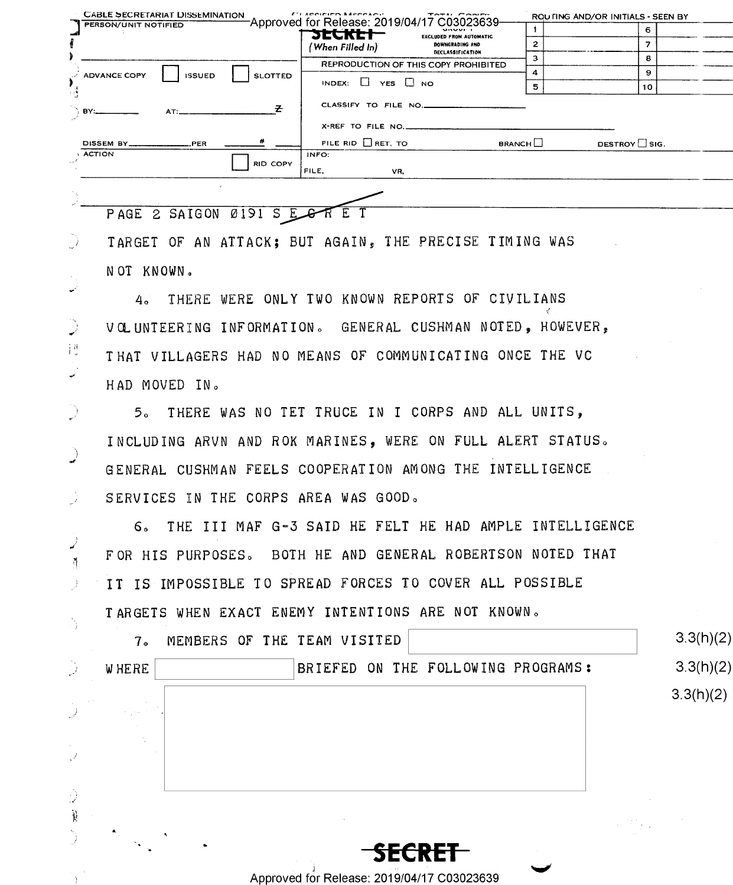| <b>CABLE SECRETARIAT DISSEMINATION</b> |                                 | <b>C1 Application Mannesour</b><br>TATH CABLES<br>Approved for Release: 2019/04/17 C03023639- |               | ROUTING AND/OR INITIALS - SEEN BY |
|----------------------------------------|---------------------------------|-----------------------------------------------------------------------------------------------|---------------|-----------------------------------|
| PERSON/UNIT NOTIFIED                   |                                 | <b>MAMMED</b><br><b>SECKET-</b><br><b>EXCLUDED FROM AUTOMATIC</b>                             |               | 6.                                |
|                                        |                                 | DOWNGRADING AND<br>(When Filled In)<br><b>DECLASSIFICATION</b>                                | 2             | 7.                                |
|                                        |                                 | REPRODUCTION OF THIS COPY PROHIBITED                                                          |               | 8                                 |
| <b>ADVANCE COPY</b>                    | <b>SLOTTED</b><br><b>ISSUED</b> |                                                                                               |               | 9                                 |
|                                        |                                 | INDEX: $\Box$ YES $\Box$ NO                                                                   | 5             | 10                                |
| $\rightarrow$ BY:                      | $AT:$ $\longrightarrow$         | CLASSIFY TO FILE NO.                                                                          |               |                                   |
|                                        |                                 | X-REF TO FILE NO.                                                                             |               |                                   |
| DISSEM BY_____________________PER      |                                 | FILE RID $\Box$ RET. TO                                                                       | <b>BRANCH</b> | DESTROY $\Box$ SIG.               |
| <b>ACTION</b>                          |                                 | INFO:                                                                                         |               |                                   |
|                                        | <b>RID COPY</b>                 | FILE,<br>VR.                                                                                  |               |                                   |
|                                        |                                 |                                                                                               |               |                                   |
| PAGE 2 SAIGON                          | 0191 S EG                       |                                                                                               |               |                                   |

TARGET OF AN ATTACK; BUT AGAIN, THE PRECISE TIMING WAS

NOT KNOWN.

 $\mathcal{D}$ 

 $\mathbb{D}$ 

 $\left\{ \begin{smallmatrix} H \\ \varphi \end{smallmatrix} \right\}$ 

 $\overline{\mathscr{S}}$ 

 $\sum_{i=1}^{n}$ 

्रे

JŻ.

ر<br>سم

 $\tilde{\eta}$ 

- ) - 1

Ď

لى.

 $\mathcal{I}$ 

Ĵ  $\mathcal{V}% _{0}\left( t\right) =\mathcal{V}_{0}\left( t\right) ,$ 

4. THERE WERE ONLY TWO KNOWN REPORTS OF CIVILIANS VOLUNTEERING INFORMATION. GENERAL CUSHMAN NOTED, HOWEVER. THAT VILLAGERS HAD NO MEANS OF COMMUNICATING ONCE THE VC HAD MOVED IN.

5. THERE WAS NO TET TRUCE IN I CORPS AND ALL UNITS, INCLUDING ARVN AND ROK MARINES, WERE ON FULL ALERT STATUS. GENERAL CUSHMAN FEELS COOPERATION AMONG THE INTELLIGENCE SERVICES IN THE CORPS AREA WAS GOOD.

6. THE III MAF G-3 SAID HE FELT HE HAD AMPLE INTELLIGENCE FOR HIS PURPOSES. BOTH HE AND GENERAL ROBERTSON NOTED THAT IT IS IMPOSSIBLE TO SPREAD FORCES TO COVER ALL POSSIBLE TARGETS WHEN EXACT ENEMY INTENTIONS ARE NOT KNOWN.

| <b>WHERE</b> |  |  |      | BRIEFED ON THE FOLLOWING PROGRAMS: |  | 3.3(h)(2) |
|--------------|--|--|------|------------------------------------|--|-----------|
|              |  |  |      |                                    |  | 3.3(h)(2) |
| the project  |  |  |      |                                    |  |           |
| ÷.           |  |  |      |                                    |  |           |
|              |  |  |      |                                    |  |           |
|              |  |  |      |                                    |  |           |
|              |  |  |      |                                    |  |           |
|              |  |  |      |                                    |  |           |
| $\star$ .    |  |  |      |                                    |  |           |
|              |  |  | GRET |                                    |  |           |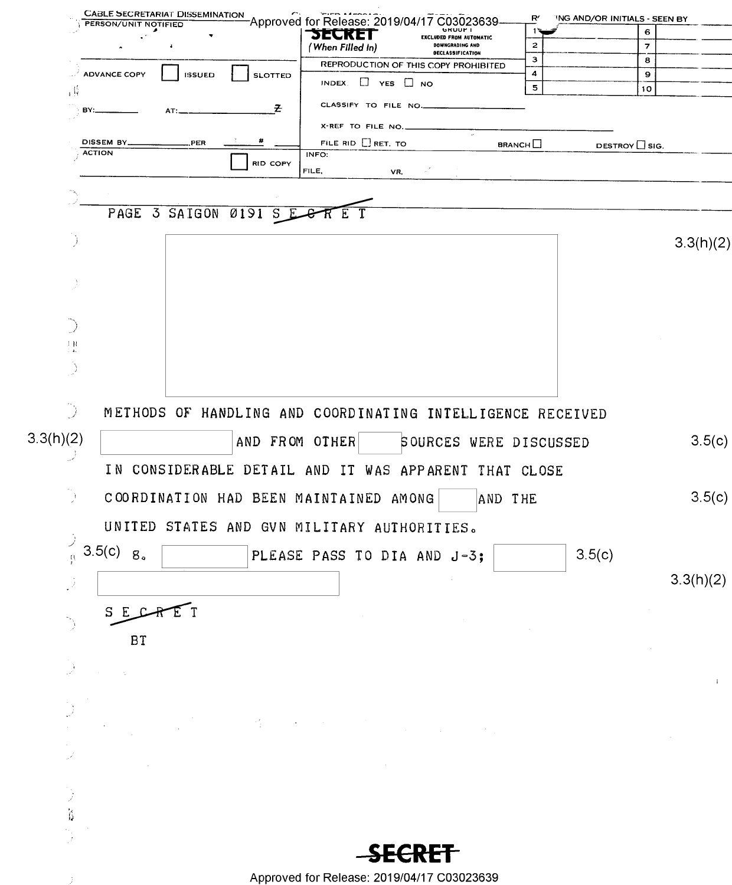|                      | PERSON/UNIT NOTIFIED             | <b>CABLE SECRETARIAT DISSEMINATION</b> |                          | Approved for Release: 2019/04.                             |                                      | C03023639<br><b>GRUUF</b> I                       | R′                 | ING AND/OR INITIALS - SEEN BY |                               |
|----------------------|----------------------------------|----------------------------------------|--------------------------|------------------------------------------------------------|--------------------------------------|---------------------------------------------------|--------------------|-------------------------------|-------------------------------|
|                      |                                  |                                        |                          | БЕСКЕГ                                                     |                                      | <b>EXCLUDED FROM AUTOMATIC</b><br>DOWNGRADING AND | 1٦<br>$\mathbf{z}$ |                               | 6<br>$\overline{\phantom{a}}$ |
|                      |                                  |                                        |                          | (When Filled In)                                           |                                      | <b>DECLASSIFICATION</b>                           | з                  |                               | 8                             |
|                      | <b>ADVANCE COPY</b>              | <b>ISSUED</b>                          | <b>SLOTTED</b>           |                                                            | REPRODUCTION OF THIS COPY PROHIBITED |                                                   | 4                  |                               | 9                             |
| 冒                    |                                  |                                        |                          | INDEX. $\Box$ YES $\Box$ NO                                |                                      |                                                   | 5                  |                               | 10                            |
| BY:                  |                                  | АТ                                     | Z.                       | CLASSIFY TO FILE NO.                                       |                                      |                                                   |                    |                               |                               |
|                      |                                  |                                        |                          | X-REF TO FILE NO.                                          |                                      |                                                   |                    |                               |                               |
|                      | DISSEM BY.                       | <b>PER</b>                             | #                        | FILE RID ERET. TO                                          |                                      |                                                   | <b>BRANCH</b>      | DESTROY CSIG.                 |                               |
| $\frac{1}{2}$ ACTION |                                  |                                        | RID COPY                 | INFO:                                                      |                                      |                                                   |                    |                               |                               |
|                      |                                  |                                        |                          | FILE,                                                      | VR,                                  |                                                   |                    |                               |                               |
|                      |                                  |                                        |                          |                                                            |                                      |                                                   |                    |                               |                               |
|                      |                                  |                                        | PAGE 3 SAIGON 0191 S E C | R E                                                        |                                      |                                                   |                    |                               |                               |
|                      |                                  |                                        |                          |                                                            |                                      |                                                   |                    |                               |                               |
|                      |                                  |                                        |                          |                                                            |                                      |                                                   |                    |                               | 3.3(h)(2)                     |
|                      |                                  |                                        |                          |                                                            |                                      |                                                   |                    |                               |                               |
|                      |                                  |                                        |                          |                                                            |                                      |                                                   |                    |                               |                               |
|                      |                                  |                                        |                          |                                                            |                                      |                                                   |                    |                               |                               |
|                      |                                  |                                        |                          |                                                            |                                      |                                                   |                    |                               |                               |
| $\frac{1}{2}$ H      |                                  |                                        |                          |                                                            |                                      |                                                   |                    |                               |                               |
|                      |                                  |                                        |                          |                                                            |                                      |                                                   |                    |                               |                               |
|                      |                                  |                                        |                          |                                                            |                                      |                                                   |                    |                               |                               |
|                      |                                  |                                        |                          |                                                            |                                      |                                                   |                    |                               |                               |
| D)                   |                                  |                                        |                          | METHODS OF HANDLING AND COORDINATING INTELLIGENCE RECEIVED |                                      |                                                   |                    |                               |                               |
|                      |                                  |                                        |                          |                                                            |                                      |                                                   |                    |                               |                               |
| 3.3(h)(2)            |                                  |                                        | AND FROM OTHER           |                                                            |                                      | SOURCES WERE DISCUSSED                            |                    |                               | 3.5(c)                        |
|                      |                                  |                                        |                          | IN CONSIDERABLE DETAIL AND IT WAS                          |                                      | APPARENT THAT CLOSE                               |                    |                               |                               |
|                      |                                  |                                        |                          |                                                            |                                      |                                                   |                    |                               |                               |
| $\rightarrow$        |                                  |                                        |                          | COORDINATION HAD BEEN MAINTAINED AMONG                     |                                      | AND THE                                           |                    |                               | 3.5(c)                        |
|                      |                                  |                                        |                          | UNITED STATES AND GVN MILITARY AUTHORITIES.                |                                      |                                                   |                    |                               |                               |
| Ĵ                    | $\frac{1}{2}$ 3.5(c) $8^{\circ}$ |                                        |                          |                                                            |                                      |                                                   |                    |                               |                               |
|                      |                                  |                                        |                          | PLEASE PASS TO DIA AND J-3;                                |                                      |                                                   |                    | 3.5(c)                        |                               |
| ÇŽ.                  |                                  |                                        |                          |                                                            |                                      |                                                   |                    |                               | 3.3(h)(2)                     |
|                      |                                  |                                        |                          |                                                            |                                      |                                                   |                    |                               |                               |
|                      | S E C                            | $R$ $E$ $T$                            |                          |                                                            |                                      |                                                   |                    |                               |                               |
|                      | <b>BT</b>                        |                                        |                          |                                                            |                                      |                                                   |                    |                               |                               |
|                      |                                  |                                        |                          |                                                            |                                      |                                                   |                    |                               |                               |
|                      |                                  |                                        |                          |                                                            |                                      |                                                   |                    |                               |                               |
|                      |                                  |                                        |                          |                                                            |                                      |                                                   |                    |                               | $\pm$                         |
|                      |                                  |                                        |                          |                                                            |                                      |                                                   |                    |                               |                               |
|                      |                                  |                                        |                          |                                                            |                                      |                                                   |                    |                               |                               |
|                      |                                  |                                        |                          |                                                            |                                      |                                                   |                    |                               |                               |
|                      |                                  |                                        |                          |                                                            |                                      |                                                   |                    |                               |                               |
|                      |                                  |                                        |                          |                                                            |                                      |                                                   |                    |                               |                               |
|                      |                                  |                                        |                          |                                                            |                                      |                                                   |                    |                               |                               |
| $\hat{\mathbf{b}}$   |                                  |                                        |                          |                                                            |                                      |                                                   |                    |                               |                               |
|                      |                                  |                                        |                          |                                                            |                                      |                                                   |                    |                               |                               |
|                      |                                  |                                        |                          |                                                            |                                      |                                                   |                    |                               |                               |
|                      |                                  |                                        |                          |                                                            |                                      |                                                   |                    |                               |                               |
|                      |                                  |                                        |                          | Approved for Release: 2019/04/17 C03023639                 |                                      |                                                   |                    |                               |                               |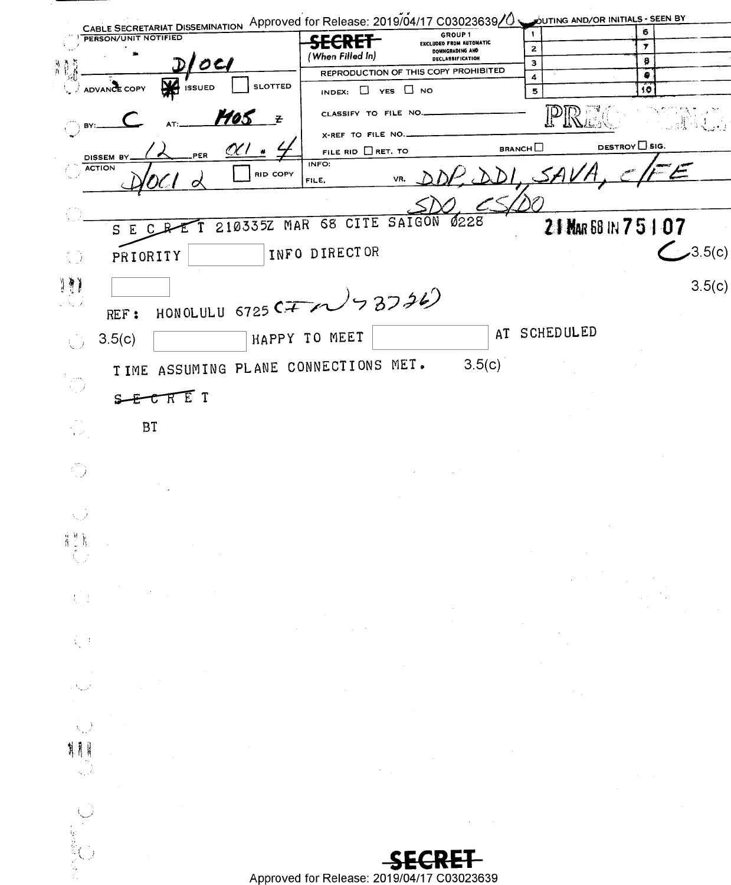|                                                   | CABLE SECRETARIAT DISSEMINATION Approved for Release: 2019/04/17 C03023639/0 OUTING AND/OR INITIALS - SEEN BY |                 |                    |
|---------------------------------------------------|---------------------------------------------------------------------------------------------------------------|-----------------|--------------------|
| PERSON/UNIT NOTIFIED                              | GROUP 1<br><b>SECRET</b><br>EXCLUDED FROM AUTOMATIC<br>DOWNGRADING AND                                        | $\mathbf{z}$    | 6<br>.7            |
| O<br>界費<br>4                                      | (When Filled In)<br><b>DECLASSIFICATION</b><br>REPRODUCTION OF THIS COPY PROHIBITED                           | з               | 8<br>۰             |
| <b>ISSUED</b><br>ADVANCE COPY                     | <b>SLOTTED</b><br>$\Box$ YES $\Box$ NO<br>INDEX:                                                              | 4<br>5          | 10                 |
| <u> 1405 </u><br>В۲                               | CLASSIFY TO FILE NO<br>$\mathbf{z}$                                                                           |                 |                    |
|                                                   | X-REF TO FILE NO.                                                                                             | BRANCH          | DESTROY LSIG.      |
| <u>CK (</u><br>PER.<br>DISSEM BY<br><b>ACTION</b> | FILE RID $\Box$ RET. TO<br>INFO:<br><b>RID COPY</b>                                                           |                 |                    |
| $\chi$ (<br>$\mathcal{O}$                         | VR,<br>FILE,                                                                                                  |                 |                    |
|                                                   | 0228<br>MAR 68 CITE SAIGON                                                                                    |                 |                    |
| 2103352<br>S<br>Ε<br>C                            |                                                                                                               |                 | 21 MAR 58 IN 75107 |
| PRIORITY<br>€Ĵ                                    | INFO DIRECTOR                                                                                                 |                 | 3.5(c)             |
| 19)                                               |                                                                                                               |                 | 3.5(c)             |
| REF:                                              | HONOLULU 6725 CITY 37326)                                                                                     |                 |                    |
| 3.5(c)<br>$\bigcup$                               | HAPPY TO MEET                                                                                                 | SCHEDULED<br>AT |                    |
| TIME ASSUMING PLANE CONNECTIONS MET.              | 3.5(c)                                                                                                        |                 |                    |
| D                                                 |                                                                                                               |                 |                    |
| SECRET                                            |                                                                                                               |                 |                    |
| BT<br>$\frac{1}{4}$ , $\frac{1}{2}$               |                                                                                                               |                 |                    |
|                                                   |                                                                                                               |                 |                    |
| $\bigoplus_{i=1}^{n}$                             |                                                                                                               |                 |                    |
|                                                   |                                                                                                               |                 |                    |
| 推进<br>Ä                                           |                                                                                                               |                 |                    |
|                                                   |                                                                                                               |                 |                    |
|                                                   |                                                                                                               |                 |                    |
| $\{ \cdot \}$                                     |                                                                                                               |                 |                    |
|                                                   | $\sim 10^{-10}$                                                                                               |                 |                    |
| $\mathcal{L}^{\mathcal{A}}$                       |                                                                                                               |                 |                    |
|                                                   |                                                                                                               |                 |                    |
|                                                   |                                                                                                               |                 |                    |
|                                                   |                                                                                                               |                 |                    |
|                                                   |                                                                                                               |                 |                    |
|                                                   |                                                                                                               |                 |                    |
|                                                   |                                                                                                               |                 |                    |
|                                                   |                                                                                                               |                 |                    |
|                                                   |                                                                                                               |                 |                    |
|                                                   | Approved for Release: 2019/04/17 C03023639                                                                    |                 |                    |